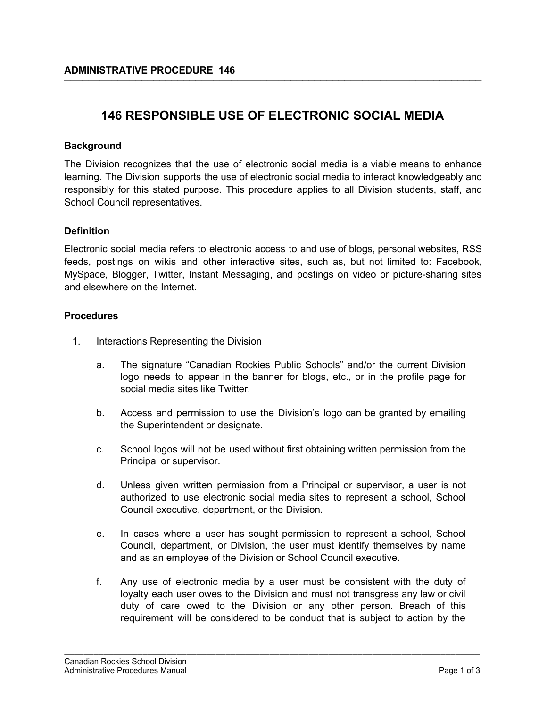# **146 RESPONSIBLE USE OF ELECTRONIC SOCIAL MEDIA**

## **Background**

The Division recognizes that the use of electronic social media is a viable means to enhance learning. The Division supports the use of electronic social media to interact knowledgeably and responsibly for this stated purpose. This procedure applies to all Division students, staff, and School Council representatives.

## **Definition**

Electronic social media refers to electronic access to and use of blogs, personal websites, RSS feeds, postings on wikis and other interactive sites, such as, but not limited to: Facebook, MySpace, Blogger, Twitter, Instant Messaging, and postings on video or picture-sharing sites and elsewhere on the Internet.

## **Procedures**

- 1. Interactions Representing the Division
	- a. The signature "Canadian Rockies Public Schools" and/or the current Division logo needs to appear in the banner for blogs, etc., or in the profile page for social media sites like Twitter.
	- b. Access and permission to use the Division's logo can be granted by emailing the Superintendent or designate.
	- c. School logos will not be used without first obtaining written permission from the Principal or supervisor.
	- d. Unless given written permission from a Principal or supervisor, a user is not authorized to use electronic social media sites to represent a school, School Council executive, department, or the Division.
	- e. In cases where a user has sought permission to represent a school, School Council, department, or Division, the user must identify themselves by name and as an employee of the Division or School Council executive.
	- f. Any use of electronic media by a user must be consistent with the duty of loyalty each user owes to the Division and must not transgress any law or civil duty of care owed to the Division or any other person. Breach of this requirement will be considered to be conduct that is subject to action by the

\_\_\_\_\_\_\_\_\_\_\_\_\_\_\_\_\_\_\_\_\_\_\_\_\_\_\_\_\_\_\_\_\_\_\_\_\_\_\_\_\_\_\_\_\_\_\_\_\_\_\_\_\_\_\_\_\_\_\_\_\_\_\_\_\_\_\_\_\_\_\_\_\_\_\_\_\_\_\_\_\_\_\_\_\_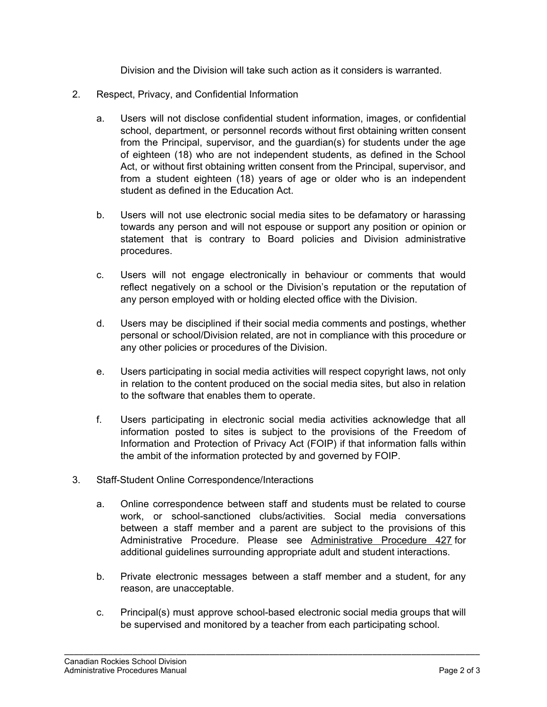Division and the Division will take such action as it considers is warranted.

- 2. Respect, Privacy, and Confidential Information
	- a. Users will not disclose confidential student information, images, or confidential school, department, or personnel records without first obtaining written consent from the Principal, supervisor, and the guardian(s) for students under the age of eighteen (18) who are not independent students, as defined in the School Act, or without first obtaining written consent from the Principal, supervisor, and from a student eighteen (18) years of age or older who is an independent student as defined in the Education Act.
	- b. Users will not use electronic social media sites to be defamatory or harassing towards any person and will not espouse or support any position or opinion or statement that is contrary to Board policies and Division administrative procedures.
	- c. Users will not engage electronically in behaviour or comments that would reflect negatively on a school or the Division's reputation or the reputation of any person employed with or holding elected office with the Division.
	- d. Users may be disciplined if their social media comments and postings, whether personal or school/Division related, are not in compliance with this procedure or any other policies or procedures of the Division.
	- e. Users participating in social media activities will respect copyright laws, not only in relation to the content produced on the social media sites, but also in relation to the software that enables them to operate.
	- f. Users participating in electronic social media activities acknowledge that all information posted to sites is subject to the provisions of the Freedom of Information and Protection of Privacy Act (FOIP) if that information falls within the ambit of the information protected by and governed by FOIP.
- 3. Staff-Student Online Correspondence/Interactions
	- a. Online correspondence between staff and students must be related to course work, or school-sanctioned clubs/activities. Social media conversations between a staff member and a parent are subject to the provisions of this Administrative Procedure. Please see Administrative Procedure 427 for additional guidelines surrounding appropriate adult and student interactions.
	- b. Private electronic messages between a staff member and a student, for any reason, are unacceptable.
	- c. Principal(s) must approve school-based electronic social media groups that will be supervised and monitored by a teacher from each participating school.

\_\_\_\_\_\_\_\_\_\_\_\_\_\_\_\_\_\_\_\_\_\_\_\_\_\_\_\_\_\_\_\_\_\_\_\_\_\_\_\_\_\_\_\_\_\_\_\_\_\_\_\_\_\_\_\_\_\_\_\_\_\_\_\_\_\_\_\_\_\_\_\_\_\_\_\_\_\_\_\_\_\_\_\_\_